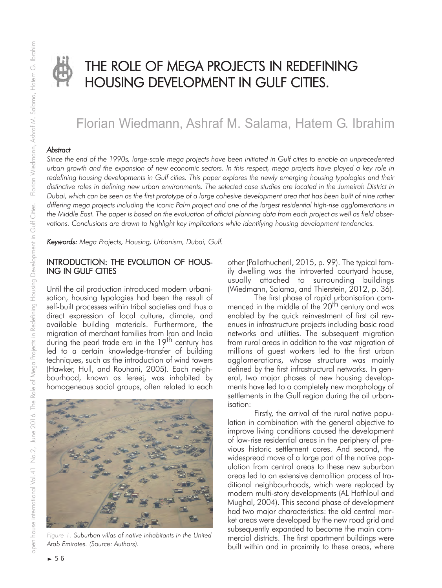

# THE ROLE OF MEGA PROJECTS IN REDEFINING HOUSING DEVELOPMENT IN GULF CITIES.

## Florian Wiedmann, Ashraf M. Salama, Hatem G. Ibrahim

#### *Abstract*

*Since the end of the 1990s, large-scale mega projects have been initiated in Gulf cities to enable an unprecedented urban growth and the expansion of new economic sectors. In this respect, mega projects have played a key role in redefining housing developments in Gulf cities. This paper explores the newly emerging housing typologies and their distinctive roles in defining new urban environments. The selected case studies are located in the Jumeirah District in Dubai, which can be seen as the first prototype of a large cohesive development area that has been built of nine rather differing mega projects including the iconic Palm project and one of the largest residential high-rise agglomerations in the Middle East. The paper is based on the evaluation of official planning data from each project as well as field obser*vations. Conclusions are drawn to highlight key implications while identifying housing development tendencies.

*Keywords: Mega Projects, Housing, Urbanism, Dubai, Gulf.*

#### INTRODUCTION: THE EVOLUTION OF HOUS-ING IN GULF CITIES

Until the oil production introduced modern urbanisation, housing typologies had been the result of self-built processes within tribal societies and thus a direct expression of local culture, climate, and available building materials. Furthermore, the migration of merchant families from Iran and India during the pearl trade era in the 19<sup>th</sup> century has led to a certain knowledge-transfer of building techniques, such as the introduction of wind towers (Hawker, Hull, and Rouhani, 2005). Each neighbourhood, known as fereej, was inhabited by homogeneous social groups, often related to each



*Figure 1. Suburban villas of native inhabitants in the United Arab Emirates. (Source: Authors).*

other (Pallathucheril, 2015, p. 99). The typical family dwelling was the introverted courtyard house, usually attached to surrounding buildings (Wiedmann, Salama, and Thierstein, 2012, p. 36).

The first phase of rapid urbanisation commenced in the middle of the 20<sup>th</sup> century and was enabled by the quick reinvestment of first oil revenues in infrastructure projects including basic road networks and utilities. The subsequent migration from rural areas in addition to the vast migration of millions of guest workers led to the first urban agglomerations, whose structure was mainly defined by the first infrastructural networks. In general, two major phases of new housing developments have led to a completely new morphology of settlements in the Gulf region during the oil urbanisation:

Firstly, the arrival of the rural native population in combination with the general objective to improve living conditions caused the development of low-rise residential areas in the periphery of previous historic settlement cores. And second, the widespread move of a large part of the native population from central areas to these new suburban areas led to an extensive demolition process of traditional neighbourhoods, which were replaced by modern multi-story developments (AL Hathloul and Mughal, 2004). This second phase of development had two major characteristics: the old central market areas were developed by the new road grid and subsequently expanded to become the main commercial districts. The first apartment buildings were built within and in proximity to these areas, where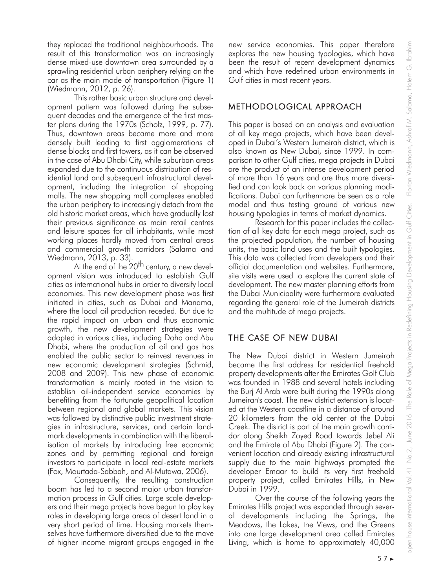they replaced the traditional neighbourhoods. The result of this transformation was an increasingly dense mixed-use downtown area surrounded by a sprawling residential urban periphery relying on the car as the main mode of transportation (Figure 1) (Wiedmann, 2012, p. 26).

This rather basic urban structure and development pattern was followed during the subsequent decades and the emergence of the first master plans during the 1970s (Scholz, 1999, p. 77). Thus, downtown areas became more and more densely built leading to first agglomerations of dense blocks and first towers, as it can be observed in the case of Abu Dhabi City, while suburban areas expanded due to the continuous distribution of residential land and subsequent infrastructural development, including the integration of shopping malls. The new shopping mall complexes enabled the urban periphery to increasingly detach from the old historic market areas, which have gradually lost their previous significance as main retail centres and leisure spaces for all inhabitants, while most working places hardly moved from central areas and commercial growth corridors (Salama and Wiedmann, 2013, p. 33).

At the end of the  $20<sup>th</sup>$  century, a new development vision was introduced to establish Gulf cities as international hubs in order to diversify local economies. This new development phase was first initiated in cities, such as Dubai and Manama, where the local oil production receded. But due to the rapid impact on urban and thus economic growth, the new development strategies were adopted in various cities, including Doha and Abu Dhabi, where the production of oil and gas has enabled the public sector to reinvest revenues in new economic development strategies (Schmid, 2008 and 2009). This new phase of economic transformation is mainly rooted in the vision to establish oil-independent service economies by benefiting from the fortunate geopolitical location between regional and global markets. This vision was followed by distinctive public investment strategies in infrastructure, services, and certain landmark developments in combination with the liberalisation of markets by introducing free economic zones and by permitting regional and foreign investors to participate in local real-estate markets (Fox, Mourtada-Sabbah, and Al-Mutawa, 2006).

Consequently, the resulting construction boom has led to a second major urban transformation process in Gulf cities. Large scale developers and their mega projects have begun to play key roles in developing large areas of desert land in a very short period of time. Housing markets themselves have furthermore diversified due to the move of higher income migrant groups engaged in the new service economies. This paper therefore explores the new housing typologies, which have been the result of recent development dynamics and which have redefined urban environments in Gulf cities in most recent years.

## METHODOLOGICAL APPROACH

This paper is based on an analysis and evaluation of all key mega projects, which have been developed in Dubai's Western Jumeirah district, which is also known as New Dubai, since 1999. In comparison to other Gulf cities, mega projects in Dubai are the product of an intense development period of more than 16 years and are thus more diversified and can look back on various planning modifications. Dubai can furthermore be seen as a role model and thus testing ground of various new housing typologies in terms of market dynamics.

Research for this paper includes the collection of all key data for each mega project, such as the projected population, the number of housing units, the basic land uses and the built typologies. This data was collected from developers and their official documentation and websites. Furthermore, site visits were used to explore the current state of development. The new master planning efforts from the Dubai Municipality were furthermore evaluated regarding the general role of the Jumeirah districts and the multitude of mega projects.

## THE CASE OF NEW DUBAI

The New Dubai district in Western Jumeirah became the first address for residential freehold property developments after the Emirates Golf Club was founded in 1988 and several hotels including the Burj Al Arab were built during the 1990s along Jumeirah's coast. The new district extension is located at the Western coastline in a distance of around 20 kilometers from the old center at the Dubai Creek. The district is part of the main growth corridor along Sheikh Zayed Road towards Jebel Ali and the Emirate of Abu Dhabi (Figure 2). The convenient location and already existing infrastructural supply due to the main highways prompted the developer Emaar to build its very first freehold property project, called Emirates Hills, in New Dubai in 1999.

Over the course of the following years the Emirates Hills project was expanded through several developments including the Springs, the Meadows, the Lakes, the Views, and the Greens into one large development area called Emirates Living, which is home to approximately 40,000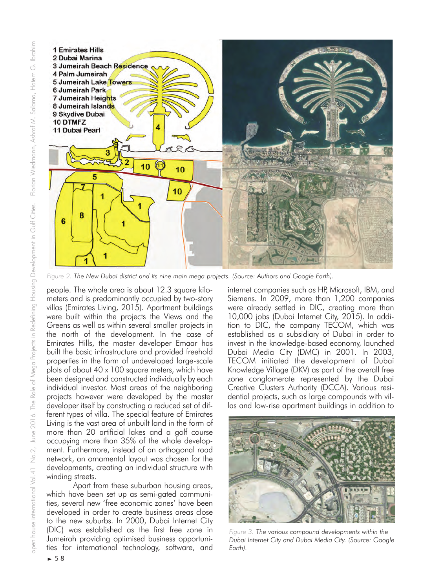

*Figure 2. The New Dubai district and its nine main mega projects. (Source: Authors and Google Earth).*

people. The whole area is about 12.3 square kilometers and is predominantly occupied by two-story villas (Emirates Living, 2015). Apartment buildings were built within the projects the Views and the Greens as well as within several smaller projects in the north of the development. In the case of Emirates Hills, the master developer Emaar has built the basic infrastructure and provided freehold properties in the form of undeveloped large-scale plots of about 40 x 100 square meters, which have been designed and constructed individually by each individual investor. Most areas of the neighboring projects however were developed by the master developer itself by constructing a reduced set of different types of villa. The special feature of Emirates Living is the vast area of unbuilt land in the form of more than 20 artificial lakes and a golf course occupying more than 35% of the whole development. Furthermore, instead of an orthogonal road network, an ornamental layout was chosen for the developments, creating an individual structure with winding streets.

Apart from these suburban housing areas, which have been set up as semi-gated communities, several new 'free economic zones' have been developed in order to create business areas close to the new suburbs. In 2000, Dubai Internet City (DIC) was established as the first free zone in Jumeirah providing optimised business opportunities for international technology, software, and

internet companies such as HP, Microsoft, IBM, and Siemens. In 2009, more than 1,200 companies were already settled in DIC, creating more than 10,000 jobs (Dubai Internet City, 2015). In addition to DIC, the company TECOM, which was established as a subsidiary of Dubai in order to invest in the knowledge-based economy, launched Dubai Media City (DMC) in 2001. In 2003, TECOM initiated the development of Dubai Knowledge Village (DKV) as part of the overall free zone conglomerate represented by the Dubai Creative Clusters Authority (DCCA). Various residential projects, such as large compounds with villas and low-rise apartment buildings in addition to



*Figure 3. The various compound developments within the Dubai Internet City and Dubai Media City. (Source: Google Earth).*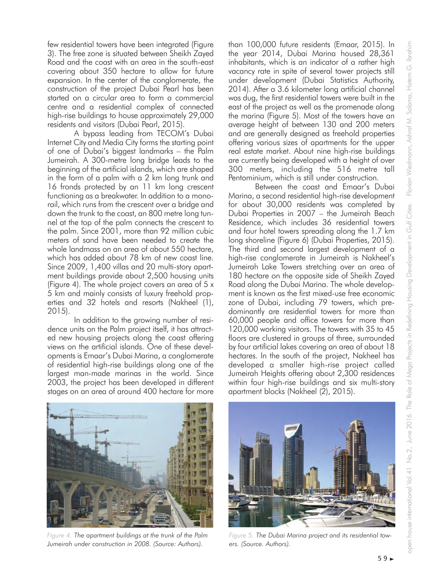few residential towers have been integrated (Figure 3). The free zone is situated between Sheikh Zayed Road and the coast with an area in the south-east covering about 350 hectare to allow for future expansion. In the center of the conglomerate, the construction of the project Dubai Pearl has been started on a circular area to form a commercial centre and a residential complex of connected high-rise buildings to house approximately 29,000 residents and visitors (Dubai Pearl, 2015).

A bypass leading from TECOM's Dubai Internet City and Media City forms the starting point of one of Dubai's biggest landmarks – the Palm Jumeirah. A 300-metre long bridge leads to the beginning of the artificial islands, which are shaped in the form of a palm with a 2 km long trunk and 16 fronds protected by an 11 km long crescent functioning as a breakwater. In addition to a monorail, which runs from the crescent over a bridge and down the trunk to the coast, an 800 metre long tunnel at the top of the palm connects the crescent to the palm. Since 2001, more than 92 million cubic meters of sand have been needed to create the whole landmass on an area of about 550 hectare, which has added about 78 km of new coast line. Since 2009, 1,400 villas and 20 multi-story apartment buildings provide about 2,500 housing units (Figure 4). The whole project covers an area of 5 x 5 km and mainly consists of luxury freehold properties and 32 hotels and resorts (Nakheel (1), 2015).

In addition to the growing number of residence units on the Palm project itself, it has attracted new housing projects along the coast offering views on the artificial islands. One of these developments is Emaar's Dubai Marina, a conglomerate of residential high-rise buildings along one of the largest man-made marinas in the world. Since 2003, the project has been developed in different stages on an area of around 400 hectare for more than 100,000 future residents (Emaar, 2015). In the year 2014, Dubai Marina housed 28,361 inhabitants, which is an indicator of a rather high vacancy rate in spite of several tower projects still under development (Dubai Statistics Authority, 2014). After a 3.6 kilometer long artificial channel was dug, the first residential towers were built in the east of the project as well as the promenade along the marina (Figure 5). Most of the towers have an average height of between 130 and 200 meters and are generally designed as freehold properties offering various sizes of apartments for the upper real estate market. About nine high-rise buildings are currently being developed with a height of over 300 meters, including the 516 metre tall Pentominium, which is still under construction.

Between the coast and Emaar's Dubai Marina, a second residential high-rise development for about 30,000 residents was completed by Dubai Properties in 2007 – the Jumeirah Beach Residence, which includes 36 residential towers and four hotel towers spreading along the 1.7 km long shoreline (Figure 6) (Dubai Properties, 2015). The third and second largest development of a high-rise conglomerate in Jumeirah is Nakheel's Jumeirah Lake Towers stretching over an area of 180 hectare on the opposite side of Sheikh Zayed Road along the Dubai Marina. The whole development is known as the first mixed-use free economic zone of Dubai, including 79 towers, which predominantly are residential towers for more than 60,000 people and office towers for more than 120,000 working visitors. The towers with 35 to 45 floors are clustered in groups of three, surrounded by four artificial lakes covering an area of about 18 hectares. In the south of the project, Nakheel has developed a smaller high-rise project called Jumeirah Heights offering about 2,300 residences within four high-rise buildings and six multi-story apartment blocks (Nakheel (2), 2015).



*Figure 4. The apartment buildings at the trunk of the Palm Jumeirah under construction in 2008. (Source: Authors).*



*Figure 5. The Dubai Marina project and its residential towers. (Source. Authors).*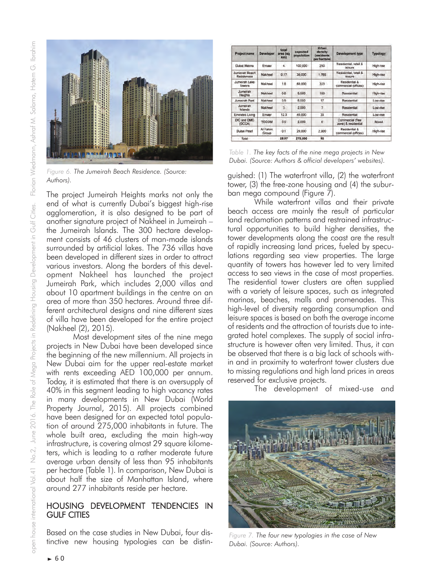

*Figure 6. The Jumeirah Beach Residence. (Source: Authors).*

The project Jumeirah Heights marks not only the end of what is currently Dubai's biggest high-rise agglomeration, it is also designed to be part of another signature project of Nakheel in Jumeirah – the Jumeirah Islands. The 300 hectare development consists of 46 clusters of man-made islands surrounded by artificial lakes. The 736 villas have been developed in different sizes in order to attract various investors. Along the borders of this development Nakheel has launched the project Jumeirah Park, which includes 2,000 villas and about 10 apartment buildings in the centre on an area of more than 350 hectares. Around three different architectural designs and nine different sizes of villa have been developed for the entire project (Nakheel (2), 2015).

Most development sites of the nine mega projects in New Dubai have been developed since the beginning of the new millennium. All projects in New Dubai aim for the upper real-estate market with rents exceeding AED 100,000 per annum. Today, it is estimated that there is an oversupply of 40% in this segment leading to high vacancy rates in many developments in New Dubai (World Property Journal, 2015). All projects combined have been designed for an expected total population of around 275,000 inhabitants in future. The whole built area, excluding the main high-way infrastructure, is covering almost 29 square kilometers, which is leading to a rather moderate future average urban density of less than 95 inhabitants per hectare (Table 1). In comparison, New Dubai is about half the size of Manhattan Island, where around 277 inhabitants reside per hectare.

#### HOUSING DEVELOPMENT TENDENCIES IN GULF CITIES

Based on the case studies in New Dubai, four distinctive new housing typologies can be distin-

| Project name                   | <b>Developer</b>  | total<br>area (sq<br>km) | expected<br>population | Urban<br>density<br><i>(residents)</i><br>per hectare) | <b>Development type</b>                               | Typology  |
|--------------------------------|-------------------|--------------------------|------------------------|--------------------------------------------------------|-------------------------------------------------------|-----------|
| Dubai Marina                   | Emaar             | 4                        | 100.000                | 250                                                    | Residential, retail &<br><i><u><b>Inisure</b></u></i> | High-rise |
| Jumeirah Beach<br>Residences   | Nakheel           | 0.17                     | 30.000                 | 1,765                                                  | Residential, retail &<br>Inisure                      | High-rise |
| Jumeirah Lake<br><b>Towers</b> | Nakheel           | 1.8                      | 60.000                 | 333                                                    | Residential &<br>commercial (offices)                 | High-rise |
| Jumeirah<br>Heights            | Nakheel           | 0.6                      | 6,000                  | 100                                                    | Residential                                           | High-rise |
| <b>Jumeirah Park</b>           | Nakheel           | 3.5                      | 6,000                  | 17                                                     | Residential                                           | Low-rise  |
| Jummirah<br>Islands            | Nakheel           | 3                        | 2,000                  | 7                                                      | Residential                                           | Low-nse   |
| Emirates Living                | Emaar             | 12.3                     | 40,000                 | 33                                                     | Residential                                           | Low-nse   |
| DIC and DMC<br>(DCCA)          | <b>TECOM</b>      | 3.5                      | 2,000                  | 6                                                      | Commercial (free<br>zone) & residential               | Mixed     |
| Dubai Pearl                    | Al Fahim<br>Group | 0.1                      | 29.000                 | 2,900                                                  | Residential &<br>commercial (offices)                 | High-rise |
| Total                          |                   | 28.97                    | 275,000                | 95                                                     |                                                       |           |

*Table 1. The key facts of the nine mega projects in New Dubai. (Source: Authors & official developers' websites).*

guished: (1) The waterfront villa, (2) the waterfront tower, (3) the free-zone housing and (4) the suburban mega compound (Figure 7).

While waterfront villas and their private beach access are mainly the result of particular land reclamation patterns and restrained infrastructural opportunities to build higher densities, the tower developments along the coast are the result of rapidly increasing land prices, fueled by speculations regarding sea view properties. The large quantity of towers has however led to very limited access to sea views in the case of most properties. The residential tower clusters are often supplied with a variety of leisure spaces, such as integrated marinas, beaches, malls and promenades. This high-level of diversity regarding consumption and leisure spaces is based on both the average income of residents and the attraction of tourists due to integrated hotel complexes. The supply of social infrastructure is however often very limited. Thus, it can be observed that there is a big lack of schools within and in proximity to waterfront tower clusters due to missing regulations and high land prices in areas reserved for exclusive projects.

The development of mixed-use and



*Figure 7. The four new typologies in the case of New Dubai. (Source: Authors).*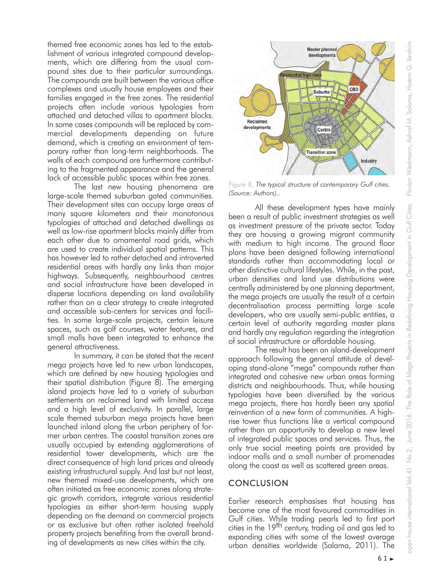themed free economic zones has led to the establishment of various integrated compound developments, which are differing from the usual compound sites due to their particular surroundings. The compounds are built between the various office complexes and usually house employees and their families engaged in the free zones. The residential projects often include various typologies from attached and detached villas to apartment blocks. In some cases compounds will be replaced by commercial developments depending on future demand, which is creating an environment of temporary rather than long-term neighborhoods. The walls of each compound are furthermore contributing to the fragmented appearance and the general lack of accessible public spaces within free zones.

The last new housing phenomena are large-scale themed suburban gated communities. Their development sites can occupy large areas of many square kilometers and their monotonous typologies of attached and detached dwellings as well as low-rise apartment blocks mainly differ from each other due to ornamental road grids, which are used to create individual spatial patterns. This has however led to rather detached and introverted residential areas with hardly any links than major highways. Subsequently, neighbourhood centres and social infrastructure have been developed in disperse locations depending on land availability rather than on a clear strategy to create integrated and accessible sub-centers for services and facilities. In some large-scale projects, certain leisure spaces, such as golf courses, water features, and small malls have been integrated to enhance the general attractiveness.

In summary, it can be stated that the recent mega projects have led to new urban landscapes, which are defined by new housing typologies and their spatial distribution (Figure 8). The emerging island projects have led to a variety of suburban settlements on reclaimed land with limited access and a high level of exclusivity. In parallel, large scale themed suburban mega projects have been launched inland along the urban periphery of former urban centres. The coastal transition zones are usually occupied by extending agglomerations of residential tower developments, which are the direct consequence of high land prices and already existing infrastructural supply. And last but not least, new themed mixed-use developments, which are often initiated as free economic zones along strategic growth corridors, integrate various residential typologies as either short-term housing supply depending on the demand on commercial projects or as exclusive but often rather isolated freehold property projects benefiting from the overall branding of developments as new cities within the city.



*Figure 8. The typical structure of contemporary Gulf cities. (Source: Authors)..*

All these development types have mainly been a result of public investment strategies as well as investment pressure of the private sector. Today they are housing a growing migrant community with medium to high income. The ground floor plans have been designed following international standards rather than accommodating local or other distinctive cultural lifestyles. While, in the past, urban densities and land use distributions were centrally administered by one planning department, the mega projects are usually the result of a certain decentralisation process permitting large scale developers, who are usually semi-public entities, a certain level of authority regarding master plans and hardly any regulation regarding the integration of social infrastructure or affordable housing.

The result has been an island-development approach following the general attitude of developing stand-alone "mega" compounds rather than integrated and cohesive new urban areas forming districts and neighbourhoods. Thus, while housing typologies have been diversified by the various mega projects, there has hardly been any spatial reinvention of a new form of communities. A highrise tower thus functions like a vertical compound rather than an opportunity to develop a new level of integrated public spaces and services. Thus, the only true social meeting points are provided by indoor malls and a small number of promenades along the coast as well as scattered green areas.

## **CONCLUSION**

Earlier research emphasises that housing has become one of the most favoured commodities in Gulf cities. While trading pearls led to first port cities in the 19<sup>th</sup> century, trading oil and gas led to expanding cities with some of the lowest average urban densities worldwide (Salama, 2011). The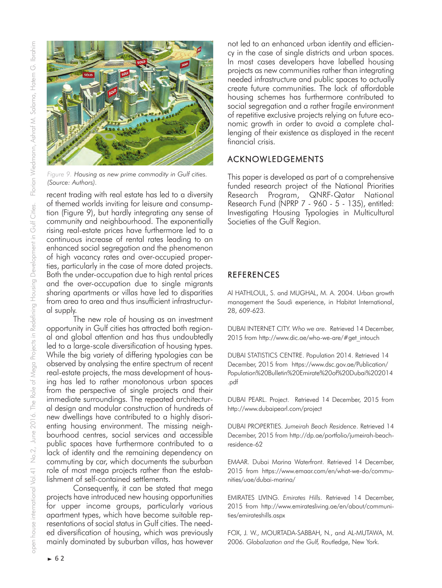

*Figure 9. Housing as new prime commodity in Gulf cities. (Source: Authors).*

recent trading with real estate has led to a diversity of themed worlds inviting for leisure and consumption (Figure 9), but hardly integrating any sense of community and neighbourhood. The exponentially rising real-estate prices have furthermore led to a continuous increase of rental rates leading to an enhanced social segregation and the phenomenon of high vacancy rates and over-occupied properties, particularly in the case of more dated projects. Both the under-occupation due to high rental prices and the over-occupation due to single migrants sharing apartments or villas have led to disparities from area to area and thus insufficient infrastructural supply.

The new role of housing as an investment opportunity in Gulf cities has attracted both regional and global attention and has thus undoubtedly led to a large-scale diversification of housing types. While the big variety of differing typologies can be observed by analysing the entire spectrum of recent real-estate projects, the mass development of housing has led to rather monotonous urban spaces from the perspective of single projects and their immediate surroundings. The repeated architectural design and modular construction of hundreds of new dwellings have contributed to a highly disorienting housing environment. The missing neighbourhood centres, social services and accessible public spaces have furthermore contributed to a lack of identity and the remaining dependency on commuting by car, which documents the suburban role of most mega projects rather than the establishment of self-contained settlements.

Consequently, it can be stated that mega projects have introduced new housing opportunities for upper income groups, particularly various apartment types, which have become suitable representations of social status in Gulf cities. The needed diversification of housing, which was previously mainly dominated by suburban villas, has however

not led to an enhanced urban identity and efficiency in the case of single districts and urban spaces. In most cases developers have labelled housing projects as new communities rather than integrating needed infrastructure and public spaces to actually create future communities. The lack of affordable housing schemes has furthermore contributed to social segregation and a rather fragile environment of repetitive exclusive projects relying on future economic growth in order to avoid a complete challenging of their existence as displayed in the recent financial crisis.

### ACKNOWLEDGEMENTS

This paper is developed as part of a comprehensive funded research project of the National Priorities Research Program, QNRF-Qatar National Research Fund (NPRP 7 - 960 - 5 - 135), entitled: Investigating Housing Typologies in Multicultural Societies of the Gulf Region.

## REFERENCES

Al HATHLOUL, S. and MUGHAL, M. A. 2004. Urban growth management the Saudi experience, in Habitat International, 28, 609-623.

DUBAI INTERNET CITY. *Who we are*. Retrieved 14 December, 2015 from http://www.dic.ae/who-we-are/#get\_intouch

DUBAI STATISTICS CENTRE. Population 2014. Retrieved 14 December, 2015 from https://www.dsc.gov.ae/Publication/ Population%20Bulletin%20Emirate%20of%20Dubai%202014 .pdf

DUBAI PEARL. Project. Retrieved 14 December, 2015 from http://www.dubaipearl.com/project

DUBAI PROPERTIES. *Jumeirah Beach Residence*. Retrieved 14 December, 2015 from http://dp.ae/portfolio/jumeirah-beachresidence-62

EMAAR. Dubai Marina Waterfront. Retrieved 14 December, 2015 from https://www.emaar.com/en/what-we-do/communities/uae/dubai-marina/

EMIRATES LIVING. *Emirates Hills*. Retrieved 14 December, 2015 from http://www.emiratesliving.ae/en/about/communities/emirateshills.aspx

FOX, J. W., MOURTADA-SABBAH, N., and AL-MUTAWA, M. 2006. *Globalization and the Gulf,* Routledge, New York.